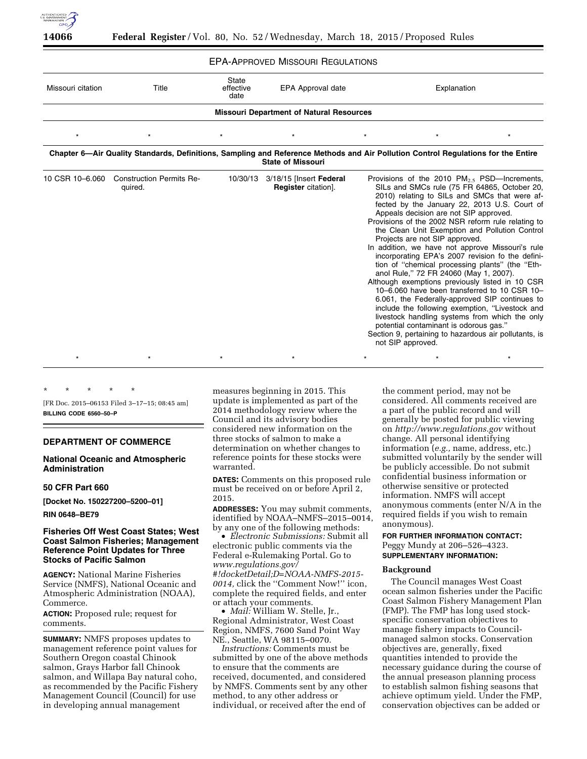

| <b>EPA-APPROVED MISSOURI REGULATIONS</b> |  |  |
|------------------------------------------|--|--|
|------------------------------------------|--|--|

| LI A ALLIUVLD MIUJUUI LILUULATIONJ              |                                            |                                   |                                                       |                                                                                                                                                                                                                                                                                                                                                                                                                                                                                                                                                                                                                                                                                                                                                                                                                                                                                                                                                                               |  |  |  |  |
|-------------------------------------------------|--------------------------------------------|-----------------------------------|-------------------------------------------------------|-------------------------------------------------------------------------------------------------------------------------------------------------------------------------------------------------------------------------------------------------------------------------------------------------------------------------------------------------------------------------------------------------------------------------------------------------------------------------------------------------------------------------------------------------------------------------------------------------------------------------------------------------------------------------------------------------------------------------------------------------------------------------------------------------------------------------------------------------------------------------------------------------------------------------------------------------------------------------------|--|--|--|--|
| Missouri citation                               | Title                                      | <b>State</b><br>effective<br>date | EPA Approval date                                     | Explanation                                                                                                                                                                                                                                                                                                                                                                                                                                                                                                                                                                                                                                                                                                                                                                                                                                                                                                                                                                   |  |  |  |  |
| <b>Missouri Department of Natural Resources</b> |                                            |                                   |                                                       |                                                                                                                                                                                                                                                                                                                                                                                                                                                                                                                                                                                                                                                                                                                                                                                                                                                                                                                                                                               |  |  |  |  |
| $\star$                                         |                                            |                                   |                                                       |                                                                                                                                                                                                                                                                                                                                                                                                                                                                                                                                                                                                                                                                                                                                                                                                                                                                                                                                                                               |  |  |  |  |
|                                                 |                                            |                                   | <b>State of Missouri</b>                              | Chapter 6—Air Quality Standards, Definitions, Sampling and Reference Methods and Air Pollution Control Regulations for the Entire                                                                                                                                                                                                                                                                                                                                                                                                                                                                                                                                                                                                                                                                                                                                                                                                                                             |  |  |  |  |
| 10 CSR 10-6.060                                 | <b>Construction Permits Re-</b><br>quired. | 10/30/13                          | 3/18/15 [Insert Federal<br><b>Register</b> citation]. | Provisions of the 2010 $PM_{2.5}$ PSD—Increments,<br>SILs and SMCs rule (75 FR 64865, October 20,<br>2010) relating to SILs and SMCs that were af-<br>fected by the January 22, 2013 U.S. Court of<br>Appeals decision are not SIP approved.<br>Provisions of the 2002 NSR reform rule relating to<br>the Clean Unit Exemption and Pollution Control<br>Projects are not SIP approved.<br>In addition, we have not approve Missouri's rule<br>incorporating EPA's 2007 revision fo the defini-<br>tion of "chemical processing plants" (the "Eth-<br>anol Rule," 72 FR 24060 (May 1, 2007).<br>Although exemptions previously listed in 10 CSR<br>10-6.060 have been transferred to 10 CSR 10-<br>6.061, the Federally-approved SIP continues to<br>include the following exemption, "Livestock and<br>livestock handling systems from which the only<br>potential contaminant is odorous gas."<br>Section 9, pertaining to hazardous air pollutants, is<br>not SIP approved. |  |  |  |  |
|                                                 |                                            |                                   |                                                       |                                                                                                                                                                                                                                                                                                                                                                                                                                                                                                                                                                                                                                                                                                                                                                                                                                                                                                                                                                               |  |  |  |  |

\* \* \* \* \*

[FR Doc. 2015–06153 Filed 3–17–15; 08:45 am] **BILLING CODE 6560–50–P** 

## **DEPARTMENT OF COMMERCE**

# **National Oceanic and Atmospheric Administration**

## **50 CFR Part 660**

**[Docket No. 150227200–5200–01]** 

**RIN 0648–BE79** 

# **Fisheries Off West Coast States; West Coast Salmon Fisheries; Management Reference Point Updates for Three Stocks of Pacific Salmon**

**AGENCY:** National Marine Fisheries Service (NMFS), National Oceanic and Atmospheric Administration (NOAA), Commerce.

**ACTION:** Proposed rule; request for comments.

**SUMMARY:** NMFS proposes updates to management reference point values for Southern Oregon coastal Chinook salmon, Grays Harbor fall Chinook salmon, and Willapa Bay natural coho, as recommended by the Pacific Fishery Management Council (Council) for use in developing annual management

measures beginning in 2015. This update is implemented as part of the 2014 methodology review where the Council and its advisory bodies considered new information on the three stocks of salmon to make a determination on whether changes to reference points for these stocks were warranted.

**DATES:** Comments on this proposed rule must be received on or before April 2, 2015.

**ADDRESSES:** You may submit comments, identified by NOAA–NMFS–2015–0014,

by any one of the following methods: • *Electronic Submissions:* Submit all electronic public comments via the Federal e-Rulemaking Portal. Go to *[www.regulations.gov/](http://www.regulations.gov/#!docketDetail;D=NOAA-NMFS-2015-0014) [#!docketDetail;D=NOAA-NMFS-2015-](http://www.regulations.gov/#!docketDetail;D=NOAA-NMFS-2015-0014) [0014,](http://www.regulations.gov/#!docketDetail;D=NOAA-NMFS-2015-0014)* click the ''Comment Now!'' icon, complete the required fields, and enter or attach your comments.

• *Mail:* William W. Stelle, Jr., Regional Administrator, West Coast Region, NMFS, 7600 Sand Point Way NE., Seattle, WA 98115–0070.

*Instructions:* Comments must be submitted by one of the above methods to ensure that the comments are received, documented, and considered by NMFS. Comments sent by any other method, to any other address or individual, or received after the end of

the comment period, may not be considered. All comments received are a part of the public record and will generally be posted for public viewing on *<http://www.regulations.gov>* without change. All personal identifying information (*e.g.,* name, address, etc.) submitted voluntarily by the sender will be publicly accessible. Do not submit confidential business information or otherwise sensitive or protected information. NMFS will accept anonymous comments (enter N/A in the required fields if you wish to remain anonymous).

# **FOR FURTHER INFORMATION CONTACT:**  Peggy Mundy at 206–526–4323. **SUPPLEMENTARY INFORMATION:**

## **Background**

The Council manages West Coast ocean salmon fisheries under the Pacific Coast Salmon Fishery Management Plan (FMP). The FMP has long used stockspecific conservation objectives to manage fishery impacts to Councilmanaged salmon stocks. Conservation objectives are, generally, fixed quantities intended to provide the necessary guidance during the course of the annual preseason planning process to establish salmon fishing seasons that achieve optimum yield. Under the FMP, conservation objectives can be added or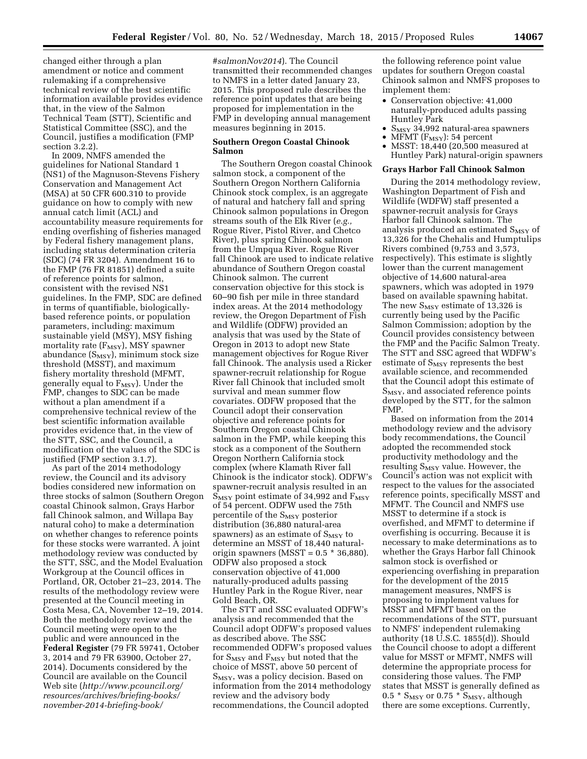changed either through a plan amendment or notice and comment rulemaking if a comprehensive technical review of the best scientific information available provides evidence that, in the view of the Salmon Technical Team (STT), Scientific and Statistical Committee (SSC), and the Council, justifies a modification (FMP section 3.2.2).

In 2009, NMFS amended the guidelines for National Standard 1 (NS1) of the Magnuson-Stevens Fishery Conservation and Management Act (MSA) at 50 CFR 600.310 to provide guidance on how to comply with new annual catch limit (ACL) and accountability measure requirements for ending overfishing of fisheries managed by Federal fishery management plans, including status determination criteria (SDC) (74 FR 3204). Amendment 16 to the FMP (76 FR 81851) defined a suite of reference points for salmon, consistent with the revised NS1 guidelines. In the FMP, SDC are defined in terms of quantifiable, biologicallybased reference points, or population parameters, including: maximum sustainable yield (MSY), MSY fishing mortality rate  $(F_{MSY})$ , MSY spawner abundance  $(S_{MSY})$ , minimum stock size threshold (MSST), and maximum fishery mortality threshold (MFMT, generally equal to  $F_{MSY}$ ). Under the FMP, changes to SDC can be made without a plan amendment if a comprehensive technical review of the best scientific information available provides evidence that, in the view of the STT, SSC, and the Council, a modification of the values of the SDC is justified (FMP section 3.1.7).

As part of the 2014 methodology review, the Council and its advisory bodies considered new information on three stocks of salmon (Southern Oregon coastal Chinook salmon, Grays Harbor fall Chinook salmon, and Willapa Bay natural coho) to make a determination on whether changes to reference points for these stocks were warranted. A joint methodology review was conducted by the STT, SSC, and the Model Evaluation Workgroup at the Council offices in Portland, OR, October 21–23, 2014. The results of the methodology review were presented at the Council meeting in Costa Mesa, CA, November 12–19, 2014. Both the methodology review and the Council meeting were open to the public and were announced in the **Federal Register** (79 FR 59741, October 3, 2014 and 79 FR 63900, October 27, 2014). Documents considered by the Council are available on the Council Web site (*[http://www.pcouncil.org/](http://www.pcouncil.org/resources/archives/briefing-books/november-2014-briefing-book/#salmonNov2014) [resources/archives/briefing-books/](http://www.pcouncil.org/resources/archives/briefing-books/november-2014-briefing-book/#salmonNov2014) [november-2014-briefing-book/](http://www.pcouncil.org/resources/archives/briefing-books/november-2014-briefing-book/#salmonNov2014)*

*[#salmonNov2014](http://www.pcouncil.org/resources/archives/briefing-books/november-2014-briefing-book/#salmonNov2014)*). The Council transmitted their recommended changes to NMFS in a letter dated January 23, 2015. This proposed rule describes the reference point updates that are being proposed for implementation in the FMP in developing annual management measures beginning in 2015.

# **Southern Oregon Coastal Chinook Salmon**

The Southern Oregon coastal Chinook salmon stock, a component of the Southern Oregon Northern California Chinook stock complex, is an aggregate of natural and hatchery fall and spring Chinook salmon populations in Oregon streams south of the Elk River (*e.g.,*  Rogue River, Pistol River, and Chetco River), plus spring Chinook salmon from the Umpqua River. Rogue River fall Chinook are used to indicate relative abundance of Southern Oregon coastal Chinook salmon. The current conservation objective for this stock is 60–90 fish per mile in three standard index areas. At the 2014 methodology review, the Oregon Department of Fish and Wildlife (ODFW) provided an analysis that was used by the State of Oregon in 2013 to adopt new State management objectives for Rogue River fall Chinook. The analysis used a Ricker spawner-recruit relationship for Rogue River fall Chinook that included smolt survival and mean summer flow covariates. ODFW proposed that the Council adopt their conservation objective and reference points for Southern Oregon coastal Chinook salmon in the FMP, while keeping this stock as a component of the Southern Oregon Northern California stock complex (where Klamath River fall Chinook is the indicator stock). ODFW's spawner-recruit analysis resulted in an  $S_{MSY}$  point estimate of 34,992 and  $F_{MSY}$ of 54 percent. ODFW used the 75th percentile of the  $S_{MSY}$  posterior distribution (36,880 natural-area spawners) as an estimate of  $S_{MSY}$  to determine an MSST of 18,440 naturalorigin spawners (MSST =  $0.5 * 36,880$ ). ODFW also proposed a stock conservation objective of 41,000 naturally-produced adults passing Huntley Park in the Rogue River, near Gold Beach, OR.

The STT and SSC evaluated ODFW's analysis and recommended that the Council adopt ODFW's proposed values as described above. The SSC recommended ODFW's proposed values for  $S_{MSY}$  and  $F_{MSY}$  but noted that the choice of MSST, above 50 percent of S<sub>MSY</sub>, was a policy decision. Based on information from the 2014 methodology review and the advisory body recommendations, the Council adopted

the following reference point value updates for southern Oregon coastal Chinook salmon and NMFS proposes to implement them:

- Conservation objective: 41,000 naturally-produced adults passing Huntley Park
- $S_{\text{MSY}}$  34,992 natural-area spawners
- MFMT  $(F_{\text{MSY}})$ : 54 percent<br>• MSST: 18.440 (20.500 mea
- MSST: 18,440 (20,500 measured at Huntley Park) natural-origin spawners

### **Grays Harbor Fall Chinook Salmon**

During the 2014 methodology review, Washington Department of Fish and Wildlife (WDFW) staff presented a spawner-recruit analysis for Grays Harbor fall Chinook salmon. The analysis produced an estimated  $S_{MSY}$  of 13,326 for the Chehalis and Humptulips Rivers combined (9,753 and 3,573, respectively). This estimate is slightly lower than the current management objective of 14,600 natural-area spawners, which was adopted in 1979 based on available spawning habitat. The new  $S_{MSY}$  estimate of 13,326 is currently being used by the Pacific Salmon Commission; adoption by the Council provides consistency between the FMP and the Pacific Salmon Treaty. The STT and SSC agreed that WDFW's estimate of S<sub>MSY</sub> represents the best available science, and recommended that the Council adopt this estimate of  $S_{MSY}$ , and associated reference points developed by the STT, for the salmon FMP.

Based on information from the 2014 methodology review and the advisory body recommendations, the Council adopted the recommended stock productivity methodology and the resulting  $S_{MSY}$  value. However, the Council's action was not explicit with respect to the values for the associated reference points, specifically MSST and MFMT. The Council and NMFS use MSST to determine if a stock is overfished, and MFMT to determine if overfishing is occurring. Because it is necessary to make determinations as to whether the Grays Harbor fall Chinook salmon stock is overfished or experiencing overfishing in preparation for the development of the 2015 management measures, NMFS is proposing to implement values for MSST and MFMT based on the recommendations of the STT, pursuant to NMFS' independent rulemaking authority (18 U.S.C. 1855(d)). Should the Council choose to adopt a different value for MSST or MFMT, NMFS will determine the appropriate process for considering those values. The FMP states that MSST is generally defined as 0.5  $*$  S<sub>MSY</sub> or 0.75  $*$  S<sub>MSY</sub>, although there are some exceptions. Currently,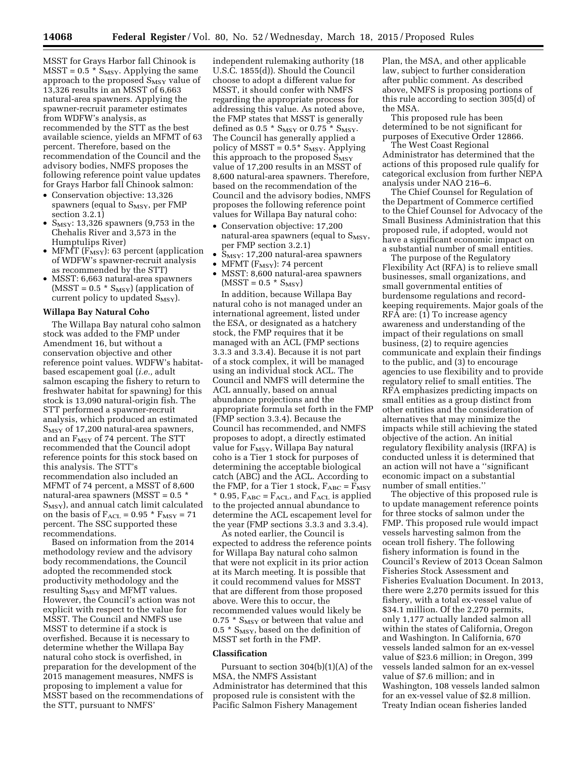MSST for Grays Harbor fall Chinook is  $MST = 0.5 * S<sub>MSY</sub>$ . Applying the same approach to the proposed  $S_{MSY}$  value of 13,326 results in an MSST of 6,663 natural-area spawners. Applying the spawner-recruit parameter estimates from WDFW's analysis, as recommended by the STT as the best available science, yields an MFMT of 63 percent. Therefore, based on the recommendation of the Council and the advisory bodies, NMFS proposes the following reference point value updates for Grays Harbor fall Chinook salmon:

- Conservation objective: 13,326 spawners (equal to  $S_{MSY}$ , per FMP section 3.2.1)
- $S_{\text{MSY}}$ : 13,326 spawners (9,753 in the Chehalis River and 3,573 in the Humptulips River)
- MFMT  $(F_{\text{MSY}})$ : 63 percent (application of WDFW's spawner-recruit analysis as recommended by the STT)
- MSST: 6,663 natural-area spawners  $(MSST = 0.5 * S_{MSY})$  (application of current policy to updated  $S_{MSY}$ ).

### **Willapa Bay Natural Coho**

The Willapa Bay natural coho salmon stock was added to the FMP under Amendment 16, but without a conservation objective and other reference point values. WDFW's habitatbased escapement goal (*i.e.,* adult salmon escaping the fishery to return to freshwater habitat for spawning) for this stock is 13,090 natural-origin fish. The STT performed a spawner-recruit analysis, which produced an estimated  $S_{MSY}$  of 17,200 natural-area spawners, and an  $F_{MSY}$  of 74 percent. The STT recommended that the Council adopt reference points for this stock based on this analysis. The STT's recommendation also included an MFMT of 74 percent, a MSST of 8,600 natural-area spawners (MSST = 0.5 \* S<sub>MSY</sub>), and annual catch limit calculated on the basis of  $F_{\text{ACL}} = 0.95 * F_{\text{MSY}} = 71$ percent. The SSC supported these recommendations.

Based on information from the 2014 methodology review and the advisory body recommendations, the Council adopted the recommended stock productivity methodology and the resulting S<sub>MSY</sub> and MFMT values. However, the Council's action was not explicit with respect to the value for MSST. The Council and NMFS use MSST to determine if a stock is overfished. Because it is necessary to determine whether the Willapa Bay natural coho stock is overfished, in preparation for the development of the 2015 management measures, NMFS is proposing to implement a value for MSST based on the recommendations of the STT, pursuant to NMFS'

independent rulemaking authority (18 U.S.C. 1855(d)). Should the Council choose to adopt a different value for MSST, it should confer with NMFS regarding the appropriate process for addressing this value. As noted above, the FMP states that MSST is generally defined as 0.5  $*$   $S_{\text{MSY}}$  or 0.75  $*$   $S_{\text{MSY}}$ . The Council has generally applied a policy of MSST =  $0.5*$  S<sub>MSY</sub>. Applying this approach to the proposed  $\bar{S}_{MSY}$ value of 17,200 results in an MSST of 8,600 natural-area spawners. Therefore, based on the recommendation of the Council and the advisory bodies, NMFS proposes the following reference point values for Willapa Bay natural coho:

- Conservation objective: 17,200 natural-area spawners (equal to  $S_{MSY}$ , per FMP section 3.2.1)
- $S_{\text{MSY}}$ : 17,200 natural-area spawners
- MFMT ( $F_{MSY}$ ): 74 percent
- MSST: 8,600 natural-area spawners  $(MSST = 0.5 * S_{MSY})$

In addition, because Willapa Bay natural coho is not managed under an international agreement, listed under the ESA, or designated as a hatchery stock, the FMP requires that it be managed with an ACL (FMP sections 3.3.3 and 3.3.4). Because it is not part of a stock complex, it will be managed using an individual stock ACL. The Council and NMFS will determine the ACL annually, based on annual abundance projections and the appropriate formula set forth in the FMP (FMP section 3.3.4). Because the Council has recommended, and NMFS proposes to adopt, a directly estimated value for  $F_{MSY}$ , Willapa Bay natural coho is a Tier 1 stock for purposes of determining the acceptable biological catch (ABC) and the ACL. According to the FMP, for a Tier 1 stock,  $F_{ABC} = F_{MSY}$  $*$  0.95,  $F_{ABC} = F_{ACL}$ , and  $F_{ACL}$  is applied to the projected annual abundance to determine the ACL escapement level for the year (FMP sections 3.3.3 and 3.3.4).

As noted earlier, the Council is expected to address the reference points for Willapa Bay natural coho salmon that were not explicit in its prior action at its March meeting. It is possible that it could recommend values for MSST that are different from those proposed above. Were this to occur, the recommended values would likely be 0.75  $*$  S<sub>MSY</sub> or between that value and 0.5  $*$  S<sub>MSY</sub>, based on the definition of MSST set forth in the FMP.

### **Classification**

Pursuant to section 304(b)(1)(A) of the MSA, the NMFS Assistant Administrator has determined that this proposed rule is consistent with the Pacific Salmon Fishery Management

Plan, the MSA, and other applicable law, subject to further consideration after public comment. As described above, NMFS is proposing portions of this rule according to section 305(d) of the MSA.

This proposed rule has been determined to be not significant for purposes of Executive Order 12866.

The West Coast Regional Administrator has determined that the actions of this proposed rule qualify for categorical exclusion from further NEPA analysis under NAO 216–6.

The Chief Counsel for Regulation of the Department of Commerce certified to the Chief Counsel for Advocacy of the Small Business Administration that this proposed rule, if adopted, would not have a significant economic impact on a substantial number of small entities.

The purpose of the Regulatory Flexibility Act (RFA) is to relieve small businesses, small organizations, and small governmental entities of burdensome regulations and recordkeeping requirements. Major goals of the RFA are: (1) To increase agency awareness and understanding of the impact of their regulations on small business, (2) to require agencies communicate and explain their findings to the public, and (3) to encourage agencies to use flexibility and to provide regulatory relief to small entities. The RFA emphasizes predicting impacts on small entities as a group distinct from other entities and the consideration of alternatives that may minimize the impacts while still achieving the stated objective of the action. An initial regulatory flexibility analysis (IRFA) is conducted unless it is determined that an action will not have a ''significant economic impact on a substantial number of small entities.''

The objective of this proposed rule is to update management reference points for three stocks of salmon under the FMP. This proposed rule would impact vessels harvesting salmon from the ocean troll fishery. The following fishery information is found in the Council's Review of 2013 Ocean Salmon Fisheries Stock Assessment and Fisheries Evaluation Document. In 2013, there were 2,270 permits issued for this fishery, with a total ex-vessel value of \$34.1 million. Of the 2,270 permits, only 1,177 actually landed salmon all within the states of California, Oregon and Washington. In California, 670 vessels landed salmon for an ex-vessel value of \$23.6 million; in Oregon, 399 vessels landed salmon for an ex-vessel value of \$7.6 million; and in Washington, 108 vessels landed salmon for an ex-vessel value of \$2.8 million. Treaty Indian ocean fisheries landed